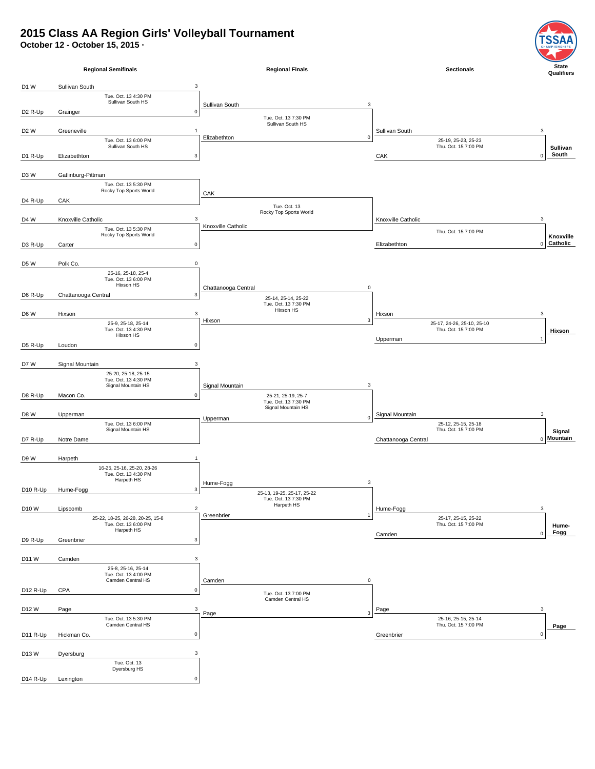## **2015 Class AA Region Girls' Volleyball Tournament**

**October 12 - October 15, 2015 ·**



SΑ